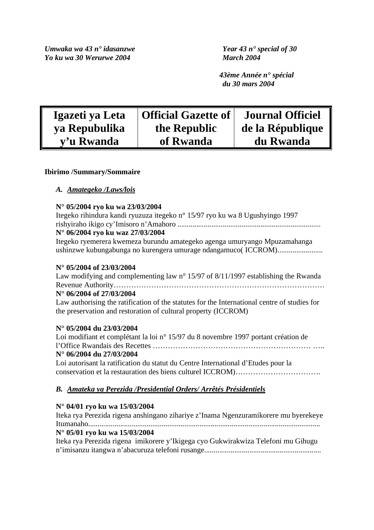*Umwaka wa 43 n° idasanzwe Year 43 n° special of 30 Yo ku wa 30 Werurwe 2004 March 2004* 

 *43ème Année n° spécial du 30 mars 2004* 

| Igazeti ya Leta | <b>Official Gazette of</b> | <b>Journal Officiel</b> |
|-----------------|----------------------------|-------------------------|
| ya Repubulika   | the Republic               | de la République        |
| y'u Rwanda      | of Rwanda                  | du Rwanda               |

### **Ibirimo /Summary/Sommaire**

## *A. Amategeko /Laws/lois*

### **N° 05/2004 ryo ku wa 23/03/2004**

Itegeko rihindura kandi ryuzuza itegeko n° 15/97 ryo ku wa 8 Ugushyingo 1997 rishyiraho ikigo cy'Imisoro n'Amahoro ............................................................................ **N° 06/2004 ryo ku waz 27/03/2004**  Itegeko ryemerera kwemeza burundu amategeko agenga umuryango Mpuzamahanga ushinzwe kubungabunga no kurengera umurage ndangamuco( ICCROM)........................

### **N° 05/2004 of 23/03/2004**

Law modifying and complementing law n° 15/97 of 8/11/1997 establishing the Rwanda Revenue Authority…………………………………………………………………………

#### **N° 06/2004 of 27/03/2004**

Law authorising the ratification of the statutes for the International centre of studies for the preservation and restoration of cultural property (ICCROM)

#### **N° 05/2004 du 23/03/2004**

Loi modifiant et complétant la loi n° 15/97 du 8 novembre 1997 portant création de l'Office Rwandais des Recettes ……………………………………………………… ….. **N° 06/2004 du 27/03/2004**  Loi autorisant la ratification du statut du Centre International d'Etudes pour la conservation et la restauration des biens culturel ICCROM)…………………………….

# *B. Amateka ya Perezida /Presidential Orders/ Arrêtés Présidentiels*

## **N° 04/01 ryo ku wa 15/03/2004**

Iteka rya Perezida rigena anshingano zihariye z'Inama Ngenzuramikorere mu byerekeye Itumanaho........................................................................................................................... **N° 05/01 ryo ku wa 15/03/2004**  Iteka rya Perezida rigena imikorere y'Ikigega cyo Gukwirakwiza Telefoni mu Gihugu n'imisanzu itangwa n'abacuruza telefoni rusange..............................................................